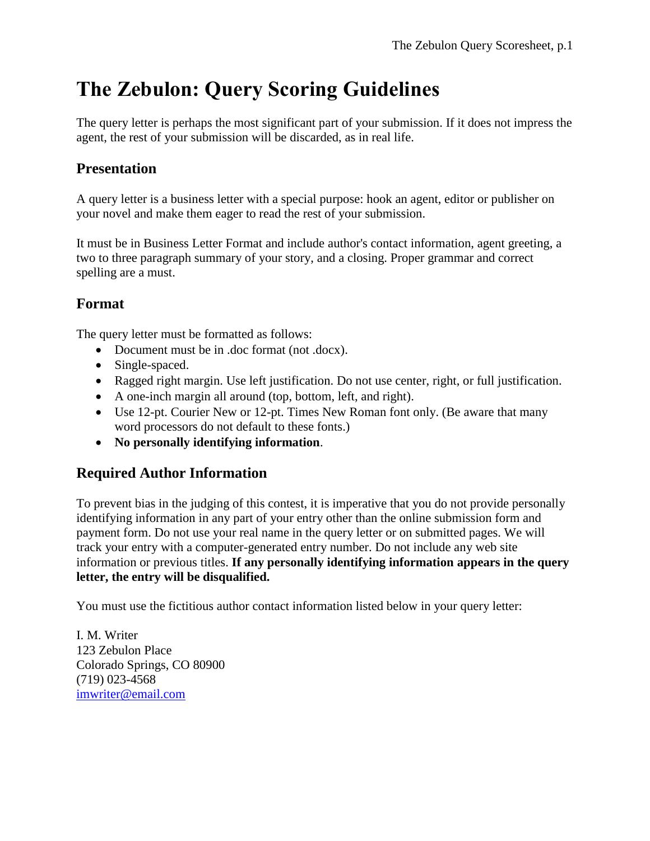# **The Zebulon: Query Scoring Guidelines**

The query letter is perhaps the most significant part of your submission. If it does not impress the agent, the rest of your submission will be discarded, as in real life.

## **Presentation**

A query letter is a business letter with a special purpose: hook an agent, editor or publisher on your novel and make them eager to read the rest of your submission.

It must be in Business Letter Format and include author's contact information, agent greeting, a two to three paragraph summary of your story, and a closing. Proper grammar and correct spelling are a must.

## **Format**

The query letter must be formatted as follows:

- Document must be in .doc format (not .docx).
- Single-spaced.
- Ragged right margin. Use left justification. Do not use center, right, or full justification.
- A one-inch margin all around (top, bottom, left, and right).
- Use 12-pt. Courier New or 12-pt. Times New Roman font only. (Be aware that many word processors do not default to these fonts.)
- **No personally identifying information**.

#### **Required Author Information**

To prevent bias in the judging of this contest, it is imperative that you do not provide personally identifying information in any part of your entry other than the online submission form and payment form. Do not use your real name in the query letter or on submitted pages. We will track your entry with a computer-generated entry number. Do not include any web site information or previous titles. **If any personally identifying information appears in the query letter, the entry will be disqualified.**

You must use the fictitious author contact information listed below in your query letter:

I. M. Writer 123 Zebulon Place Colorado Springs, CO 80900 (719) 023-4568 [imwriter@email.com](mailto:imwriter@email.com)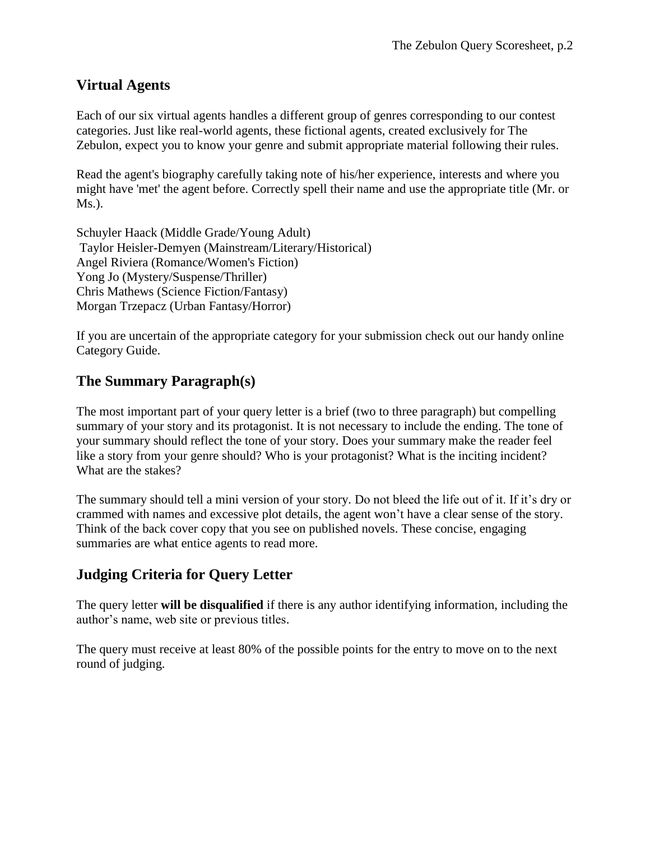#### **Virtual Agents**

Each of our six virtual agents handles a different group of genres corresponding to our contest categories. Just like real-world agents, these fictional agents, created exclusively for The Zebulon, expect you to know your genre and submit appropriate material following their rules.

Read the agent's biography carefully taking note of his/her experience, interests and where you might have 'met' the agent before. Correctly spell their name and use the appropriate title (Mr. or Ms.).

Schuyler Haack (Middle Grade/Young Adult) Taylor Heisler-Demyen (Mainstream/Literary/Historical) Angel Riviera (Romance/Women's Fiction) Yong Jo (Mystery/Suspense/Thriller) Chris Mathews (Science Fiction/Fantasy) Morgan Trzepacz (Urban Fantasy/Horror)

If you are uncertain of the appropriate category for your submission check out our handy online Category Guide.

#### **The Summary Paragraph(s)**

The most important part of your query letter is a brief (two to three paragraph) but compelling summary of your story and its protagonist. It is not necessary to include the ending. The tone of your summary should reflect the tone of your story. Does your summary make the reader feel like a story from your genre should? Who is your protagonist? What is the inciting incident? What are the stakes?

The summary should tell a mini version of your story. Do not bleed the life out of it. If it's dry or crammed with names and excessive plot details, the agent won't have a clear sense of the story. Think of the back cover copy that you see on published novels. These concise, engaging summaries are what entice agents to read more.

#### **Judging Criteria for Query Letter**

The query letter **will be disqualified** if there is any author identifying information, including the author's name, web site or previous titles.

The query must receive at least 80% of the possible points for the entry to move on to the next round of judging.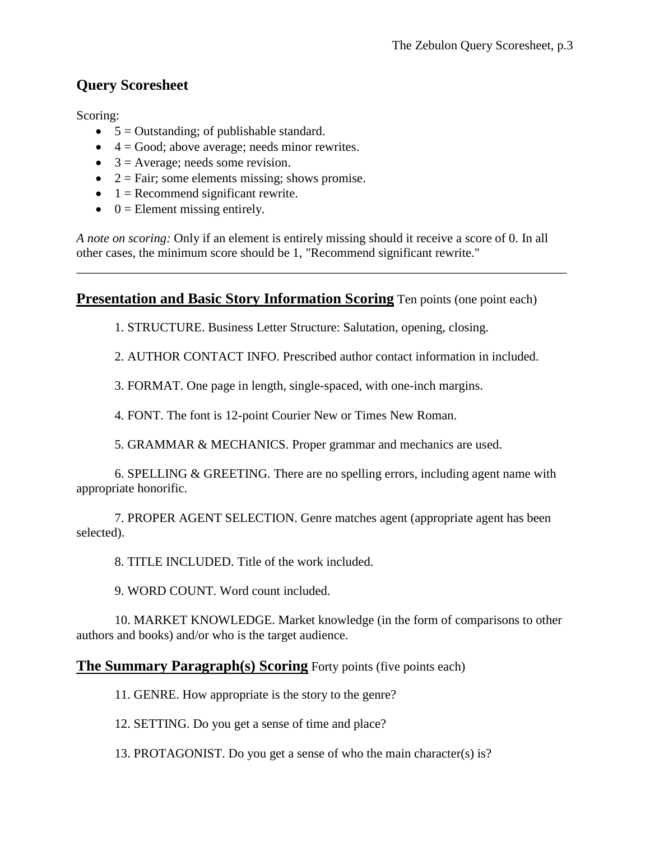## **Query Scoresheet**

Scoring:

- $\bullet$  5 = Outstanding; of publishable standard.
- $\bullet$  4 = Good; above average; needs minor rewrites.
- $\bullet$  3 = Average; needs some revision.
- $\bullet$  2 = Fair; some elements missing; shows promise.
- $\bullet$  1 = Recommend significant rewrite.
- $\bullet$  0 = Element missing entirely.

*A note on scoring:* Only if an element is entirely missing should it receive a score of 0. In all other cases, the minimum score should be 1, "Recommend significant rewrite."

\_\_\_\_\_\_\_\_\_\_\_\_\_\_\_\_\_\_\_\_\_\_\_\_\_\_\_\_\_\_\_\_\_\_\_\_\_\_\_\_\_\_\_\_\_\_\_\_\_\_\_\_\_\_\_\_\_\_\_\_\_\_\_\_\_\_\_\_\_\_\_\_\_\_\_\_\_

#### **Presentation and Basic Story Information Scoring** Ten points (one point each)

1. STRUCTURE. Business Letter Structure: Salutation, opening, closing.

2. AUTHOR CONTACT INFO. Prescribed author contact information in included.

3. FORMAT. One page in length, single-spaced, with one-inch margins.

4. FONT. The font is 12-point Courier New or Times New Roman.

5. GRAMMAR & MECHANICS. Proper grammar and mechanics are used.

6. SPELLING & GREETING. There are no spelling errors, including agent name with appropriate honorific.

7. PROPER AGENT SELECTION. Genre matches agent (appropriate agent has been selected).

8. TITLE INCLUDED. Title of the work included.

9. WORD COUNT. Word count included.

10. MARKET KNOWLEDGE. Market knowledge (in the form of comparisons to other authors and books) and/or who is the target audience.

#### **The Summary Paragraph(s) Scoring** Forty points (five points each)

11. GENRE. How appropriate is the story to the genre?

12. SETTING. Do you get a sense of time and place?

13. PROTAGONIST. Do you get a sense of who the main character(s) is?